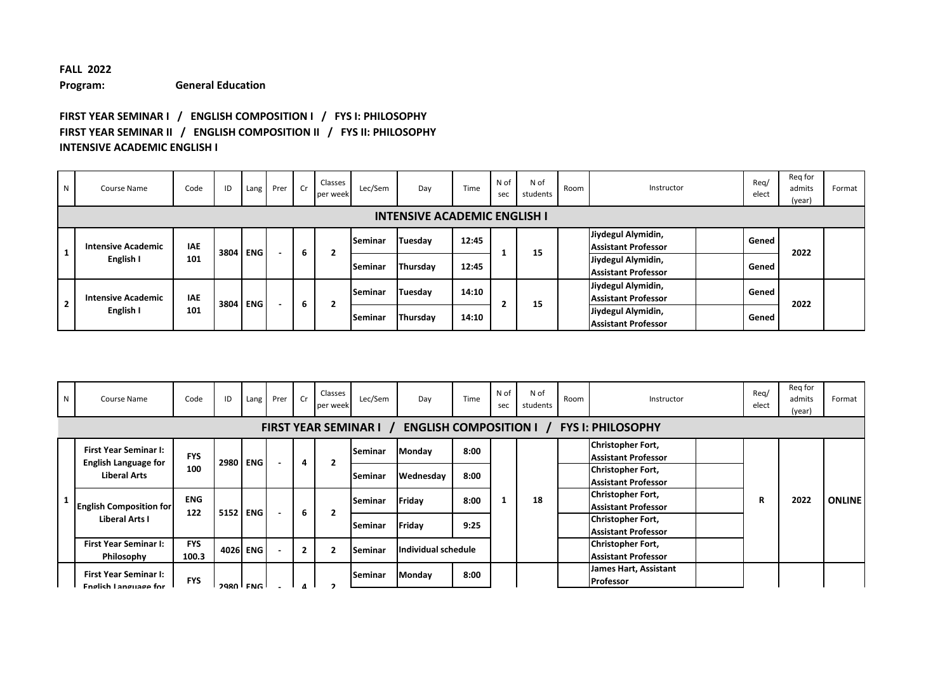## **FALL 2022 Program: General Education**

## **FIRST YEAR SEMINAR I / ENGLISH COMPOSITION I / FYS I: PHILOSOPHY FIRST YEAR SEMINAR II / ENGLISH COMPOSITION II / FYS II: PHILOSOPHY INTENSIVE ACADEMIC ENGLISH I**

| N | Course Name                         | Code       | ID   |            | Lang Prer | Cr | Classes<br>per week | Lec/Sem        | Day      | Time  | N of<br>sec | N of<br>students | Room | Instructor                 |  | Reg/<br>elect | Reg for<br>admits<br>(year) | Format |
|---|-------------------------------------|------------|------|------------|-----------|----|---------------------|----------------|----------|-------|-------------|------------------|------|----------------------------|--|---------------|-----------------------------|--------|
|   | <b>INTENSIVE ACADEMIC ENGLISH I</b> |            |      |            |           |    |                     |                |          |       |             |                  |      |                            |  |               |                             |        |
|   |                                     |            |      |            |           |    |                     | <b>Seminar</b> | Tuesday  | 12:45 |             |                  |      | Jiydegul Alymidin,         |  | Gened         |                             |        |
|   | <b>Intensive Academic</b>           | <b>IAE</b> | 3804 | <b>ENG</b> |           | 6  | 2                   |                |          |       |             | 15               |      | <b>Assistant Professor</b> |  |               | 2022                        |        |
|   | English I                           | 101        |      |            |           |    |                     | lSeminar       | Thursday | 12:45 |             |                  |      | Jiydegul Alymidin,         |  | Gened         |                             |        |
|   |                                     |            |      |            |           |    |                     |                |          |       |             |                  |      | <b>Assistant Professor</b> |  |               |                             |        |
|   |                                     |            |      |            |           |    |                     |                |          |       |             |                  |      | Jiydegul Alymidin,         |  |               |                             |        |
|   | <b>Intensive Academic</b>           | <b>IAE</b> |      |            |           |    |                     | Seminar        | Tuesday  | 14:10 |             |                  |      | <b>Assistant Professor</b> |  | Gened         |                             |        |
| ▴ | English I                           | 101        | 3804 | <b>ENG</b> |           | 6  | 2                   |                |          |       |             | 15               |      | Jiydegul Alymidin,         |  |               | 2022                        |        |
|   |                                     |            |      |            |           |    |                     | lSeminar       | Thursday | 14:10 |             |                  |      | <b>Assistant Professor</b> |  | Gened         |                             |        |

| N | Course Name                                                 | Code                | ID       | Lang     | Prer                     | Cr             | Classes<br>per week | Lec/Sem                       | Day                            | Time | N of<br>sec | N of<br>students | Room | Instructor                                             | Rea/<br>elect | Reg for<br>admits<br>(year) | Format        |
|---|-------------------------------------------------------------|---------------------|----------|----------|--------------------------|----------------|---------------------|-------------------------------|--------------------------------|------|-------------|------------------|------|--------------------------------------------------------|---------------|-----------------------------|---------------|
|   |                                                             |                     |          |          |                          |                |                     | <b>FIRST YEAR SEMINAR I</b> / | <b>ENGLISH COMPOSITION I</b> / |      |             |                  |      | <b>FYS I: PHILOSOPHY</b>                               |               |                             |               |
|   | <b>First Year Seminar I:</b>                                | <b>FYS</b>          |          | 2980 ENG | $\overline{\phantom{a}}$ | 4              | $\overline{2}$      | Seminar                       | Monday                         | 8:00 |             |                  |      | Christopher Fort,<br><b>Assistant Professor</b>        |               |                             |               |
|   | <b>English Language for</b><br><b>Liberal Arts</b>          | 100                 |          |          |                          |                |                     | lSeminar                      | Wednesday                      | 8:00 |             |                  |      | Christopher Fort,<br><b>Assistant Professor</b>        |               |                             |               |
|   | <b>English Composition for</b>                              | <b>ENG</b><br>122   |          | 5152 ENG |                          | 6              | $\overline{2}$      | Seminar                       | Friday                         | 8:00 |             | 18               |      | Christopher Fort,<br><b>Assistant Professor</b>        | R             | 2022                        | <b>ONLINE</b> |
|   | Liberal Arts I                                              |                     |          |          |                          |                |                     | Seminar                       | Friday                         | 9:25 |             |                  |      | <b>Christopher Fort,</b><br><b>Assistant Professor</b> |               |                             |               |
|   | <b>First Year Seminar I:</b><br>Philosophy                  | <b>FYS</b><br>100.3 |          | 4026 ENG |                          | $\overline{2}$ | $\overline{2}$      | Seminar                       | Individual schedule            |      |             |                  |      | Christopher Fort,<br><b>Assistant Professor</b>        |               |                             |               |
|   | <b>First Year Seminar I:</b><br><b>English Language for</b> | <b>FYS</b>          | 2000 ENG |          |                          |                |                     | Seminar                       | Monday                         | 8:00 |             |                  |      | James Hart, Assistant<br><b>Professor</b>              |               |                             |               |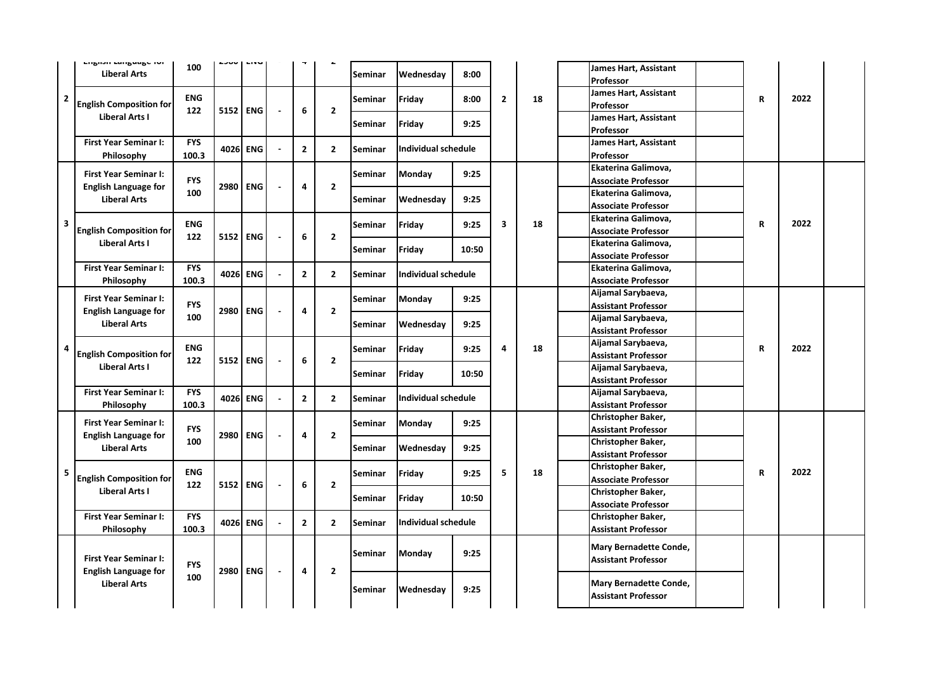|                | <b>LURUSU LAURUARE IUI</b><br><b>Liberal Arts</b>           | 100                 | wocz | LIVU       |                          |                | $\epsilon$     | Seminar        | Wednesday                                                       | 8:00                                             |                                                   |    | James Hart, Assistant<br>Professor                   |             |      |  |
|----------------|-------------------------------------------------------------|---------------------|------|------------|--------------------------|----------------|----------------|----------------|-----------------------------------------------------------------|--------------------------------------------------|---------------------------------------------------|----|------------------------------------------------------|-------------|------|--|
| $\overline{2}$ | <b>English Composition for</b>                              | <b>ENG</b><br>122   | 5152 | ENG        |                          | 6              | $\mathbf{2}$   | Seminar        | Friday                                                          | 8:00                                             | $\mathbf{2}$                                      | 18 | James Hart, Assistant<br>Professor                   | $\mathbf R$ | 2022 |  |
|                | <b>Liberal Arts I</b>                                       |                     |      |            |                          |                |                | Seminar        | Friday                                                          | 9:25                                             |                                                   |    | James Hart, Assistant<br>Professor                   |             |      |  |
|                | <b>First Year Seminar I:</b><br>Philosophy                  | <b>FYS</b><br>100.3 |      | 4026 ENG   |                          | $\overline{2}$ | $\overline{2}$ | <b>Seminar</b> | <b>Individual schedule</b>                                      |                                                  |                                                   |    | James Hart, Assistant<br>Professor                   |             |      |  |
|                | <b>First Year Seminar I:</b><br><b>English Language for</b> | <b>FYS</b>          | 2980 | <b>ENG</b> |                          | 4              | $\mathbf{2}$   | Seminar        | <b>Monday</b>                                                   | 9:25                                             |                                                   |    | Ekaterina Galimova,<br><b>Associate Professor</b>    |             |      |  |
|                | <b>Liberal Arts</b>                                         | 100                 |      |            |                          |                |                | <b>Seminar</b> | Wednesday                                                       | 9:25                                             |                                                   |    | Ekaterina Galimova,<br><b>Associate Professor</b>    |             |      |  |
| 3              | <b>English Composition for</b>                              | <b>ENG</b><br>122   | 5152 | <b>ENG</b> | $\overline{\phantom{a}}$ | 6              | $\overline{2}$ | Seminar        | Friday                                                          | 9:25                                             | 3                                                 | 18 | Ekaterina Galimova,<br><b>Associate Professor</b>    | R           | 2022 |  |
|                | Liberal Arts I                                              |                     |      |            |                          |                |                | Seminar        | Friday<br>10:50<br><b>Individual schedule</b><br>Monday<br>9:25 |                                                  | Ekaterina Galimova,<br>Associate Professor        |    |                                                      |             |      |  |
|                | <b>First Year Seminar I:</b><br>Philosophy                  | <b>FYS</b><br>100.3 | 4026 | <b>ENG</b> |                          | $2^{\circ}$    | $\overline{2}$ | Seminar        |                                                                 |                                                  | Ekaterina Galimova,<br><b>Associate Professor</b> |    |                                                      |             |      |  |
|                | <b>First Year Seminar I:</b><br><b>English Language for</b> | <b>FYS</b>          | 2980 | <b>ENG</b> |                          | 4              | $\overline{2}$ | Seminar        |                                                                 | Aijamal Sarybaeva,<br><b>Assistant Professor</b> |                                                   |    |                                                      |             |      |  |
|                | <b>Liberal Arts</b>                                         | 100                 |      |            |                          |                |                | Seminar        | Wednesday                                                       | 9:25                                             |                                                   |    | Aijamal Sarybaeva,<br><b>Assistant Professor</b>     |             |      |  |
| 4              | <b>English Composition for</b>                              | <b>ENG</b><br>122   | 5152 | <b>ENG</b> | $\blacksquare$           | 6              | $\overline{2}$ | Seminar        | Friday                                                          | 9:25                                             | 4                                                 | 18 | Aijamal Sarybaeva,<br><b>Assistant Professor</b>     | R           | 2022 |  |
|                | Liberal Arts I                                              |                     |      |            |                          |                |                | Seminar        | Friday                                                          | 10:50                                            |                                                   |    | Aijamal Sarybaeva,<br><b>Assistant Professor</b>     |             |      |  |
|                | <b>First Year Seminar I:</b><br>Philosophy                  | <b>FYS</b><br>100.3 | 4026 | <b>ENG</b> |                          | $\mathbf{2}$   | $\overline{2}$ | <b>Seminar</b> | Individual schedule                                             |                                                  |                                                   |    | Aijamal Sarybaeva,<br>Assistant Professor            |             |      |  |
|                | <b>First Year Seminar I:</b><br><b>English Language for</b> | <b>FYS</b>          | 2980 | <b>ENG</b> | $\overline{\phantom{a}}$ | 4              | $\overline{2}$ | Seminar        | Monday                                                          | 9:25                                             |                                                   |    | Christopher Baker,<br><b>Assistant Professor</b>     |             |      |  |
|                | <b>Liberal Arts</b>                                         | 100                 |      |            |                          |                |                | Seminar        | Wednesday                                                       | 9:25                                             |                                                   |    | Christopher Baker,<br>Assistant Professor            |             |      |  |
| 5              | <b>English Composition for</b>                              | <b>ENG</b><br>122   | 5152 | <b>ENG</b> | $\overline{\phantom{a}}$ | 6              | $\overline{2}$ | Seminar        | Friday                                                          | 9:25                                             | 5                                                 | 18 | Christopher Baker,<br><b>Associate Professor</b>     | ${\bf R}$   | 2022 |  |
|                | Liberal Arts I                                              |                     |      |            |                          |                |                | Seminar        | Friday                                                          | 10:50                                            |                                                   |    | Christopher Baker,<br><b>Associate Professor</b>     |             |      |  |
|                | <b>First Year Seminar I:</b><br>Philosophy                  | <b>FYS</b><br>100.3 | 4026 | <b>ENG</b> |                          | $\mathbf{2}$   | $\overline{2}$ | Seminar        | <b>Individual schedule</b>                                      |                                                  |                                                   |    | Christopher Baker,<br><b>Assistant Professor</b>     |             |      |  |
|                | <b>First Year Seminar I:</b><br><b>English Language for</b> | <b>FYS</b>          | 2980 | <b>ENG</b> | $\overline{\phantom{a}}$ | 4              | $\overline{2}$ | Seminar        | Monday                                                          | 9:25                                             |                                                   |    | Mary Bernadette Conde,<br><b>Assistant Professor</b> |             |      |  |
|                | <b>Liberal Arts</b>                                         | 100                 |      |            |                          |                |                | Seminar        | Wednesday                                                       | 9:25                                             |                                                   |    | Mary Bernadette Conde,<br><b>Assistant Professor</b> |             |      |  |
|                |                                                             |                     |      |            |                          |                |                |                |                                                                 |                                                  |                                                   |    |                                                      |             |      |  |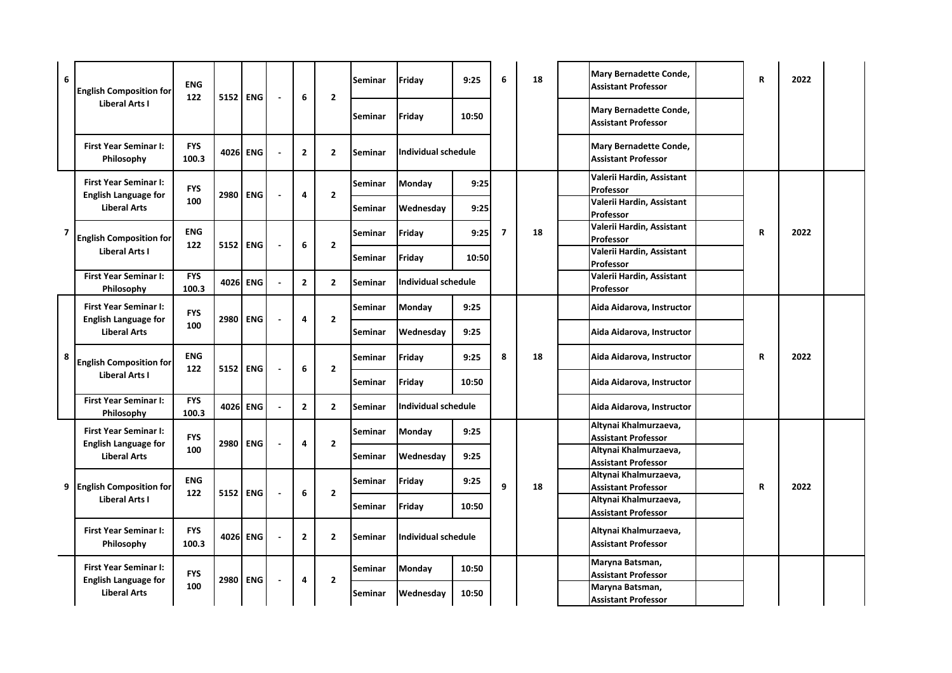| 6 | <b>English Composition for</b>                     | <b>ENG</b><br>122   | 5152 | <b>ENG</b> | 6              | $\overline{2}$ | Seminar        | Friday                     | 9:25  | 6              | 18 | Mary Bernadette Conde,<br><b>Assistant Professor</b> | $\mathbf R$ | 2022 |  |
|---|----------------------------------------------------|---------------------|------|------------|----------------|----------------|----------------|----------------------------|-------|----------------|----|------------------------------------------------------|-------------|------|--|
|   | Liberal Arts I                                     |                     |      |            |                |                | Seminar        | Friday                     | 10:50 |                |    | Mary Bernadette Conde,<br><b>Assistant Professor</b> |             |      |  |
|   | <b>First Year Seminar I:</b><br>Philosophy         | <b>FYS</b><br>100.3 |      | 4026 ENG   | $\mathbf{2}$   | $\overline{2}$ | Seminar        | Individual schedule        |       |                |    | Mary Bernadette Conde,<br><b>Assistant Professor</b> |             |      |  |
|   | <b>First Year Seminar I:</b>                       | <b>FYS</b>          |      |            |                |                | Seminar        | Monday                     | 9:25  |                |    | Valerii Hardin, Assistant<br>Professor               |             |      |  |
|   | <b>English Language for</b><br><b>Liberal Arts</b> | 100                 | 2980 | <b>ENG</b> | 4              | $\overline{2}$ | Seminar        | Wednesday                  | 9:25  |                |    | Valerii Hardin, Assistant<br>Professor               |             |      |  |
| 7 | <b>English Composition for</b>                     | <b>ENG</b>          |      |            | 6              | $\overline{2}$ | Seminar        | Friday                     | 9:25  | $\overline{7}$ | 18 | Valerii Hardin, Assistant<br>Professor               | R           | 2022 |  |
|   | Liberal Arts I                                     | 122                 | 5152 | <b>ENG</b> |                |                | Seminar        | Friday                     | 10:50 |                |    | Valerii Hardin, Assistant<br>Professor               |             |      |  |
|   | <b>First Year Seminar I:</b><br>Philosophy         | <b>FYS</b><br>100.3 | 4026 | <b>ENG</b> | $\mathbf{2}$   | $\overline{2}$ | Seminar        | <b>Individual schedule</b> |       |                |    | Valerii Hardin, Assistant<br>Professor               |             |      |  |
|   | <b>First Year Seminar I:</b>                       | <b>FYS</b>          | 2980 | <b>ENG</b> |                | $\overline{2}$ | Seminar        | Monday                     | 9:25  |                |    | Aida Aidarova, Instructor                            |             |      |  |
|   | <b>English Language for</b><br><b>Liberal Arts</b> | 100                 |      |            | 4              |                | Seminar        | Wednesday                  | 9:25  |                |    | Aida Aidarova, Instructor                            |             |      |  |
| 8 | <b>English Composition for</b>                     | <b>ENG</b><br>122   |      | 5152 ENG   | 6              | $\overline{2}$ | Seminar        | Friday                     | 9:25  | 8              | 18 | Aida Aidarova, Instructor                            | R           | 2022 |  |
|   | Liberal Arts I                                     |                     |      |            |                |                | Seminar        | Friday                     | 10:50 |                |    | Aida Aidarova, Instructor                            |             |      |  |
|   | <b>First Year Seminar I:</b><br>Philosophy         | <b>FYS</b><br>100.3 |      | 4026 ENG   | $\overline{2}$ | $\overline{2}$ | Seminar        | Individual schedule        |       |                |    | Aida Aidarova, Instructor                            |             |      |  |
|   | <b>First Year Seminar I:</b>                       | <b>FYS</b>          |      |            |                |                | Seminar        | Monday                     | 9:25  |                |    | Altynai Khalmurzaeva,<br><b>Assistant Professor</b>  |             |      |  |
|   | <b>English Language for</b><br><b>Liberal Arts</b> | 100                 | 2980 | <b>ENG</b> | 4              | $\overline{2}$ | <b>Seminar</b> | Wednesday                  | 9:25  |                |    | Altynai Khalmurzaeva,                                |             |      |  |
|   |                                                    |                     |      |            |                |                |                |                            |       |                |    | <b>Assistant Professor</b><br>Altynai Khalmurzaeva,  |             |      |  |
|   | 9 English Composition for                          | <b>ENG</b><br>122   | 5152 | <b>ENG</b> | 6              | $\overline{2}$ | Seminar        | Friday                     | 9:25  | 9              | 18 | <b>Assistant Professor</b>                           | R           | 2022 |  |
|   | Liberal Arts I                                     |                     |      |            |                |                | Seminar        | Friday                     | 10:50 |                |    | Altynai Khalmurzaeva,<br><b>Assistant Professor</b>  |             |      |  |
|   | <b>First Year Seminar I:</b><br>Philosophy         | <b>FYS</b><br>100.3 |      | 4026 ENG   | $\overline{2}$ | $\overline{2}$ | Seminar        | <b>Individual schedule</b> |       |                |    | Altynai Khalmurzaeva,<br><b>Assistant Professor</b>  |             |      |  |
|   | <b>First Year Seminar I:</b>                       | <b>FYS</b>          |      |            |                |                | Seminar        | Monday                     | 10:50 |                |    | Maryna Batsman,<br><b>Assistant Professor</b>        |             |      |  |
|   | <b>English Language for</b><br><b>Liberal Arts</b> | 100                 | 2980 | <b>ENG</b> | 4              | $\overline{2}$ | Seminar        | Wednesday                  | 10:50 |                |    | Maryna Batsman,<br><b>Assistant Professor</b>        |             |      |  |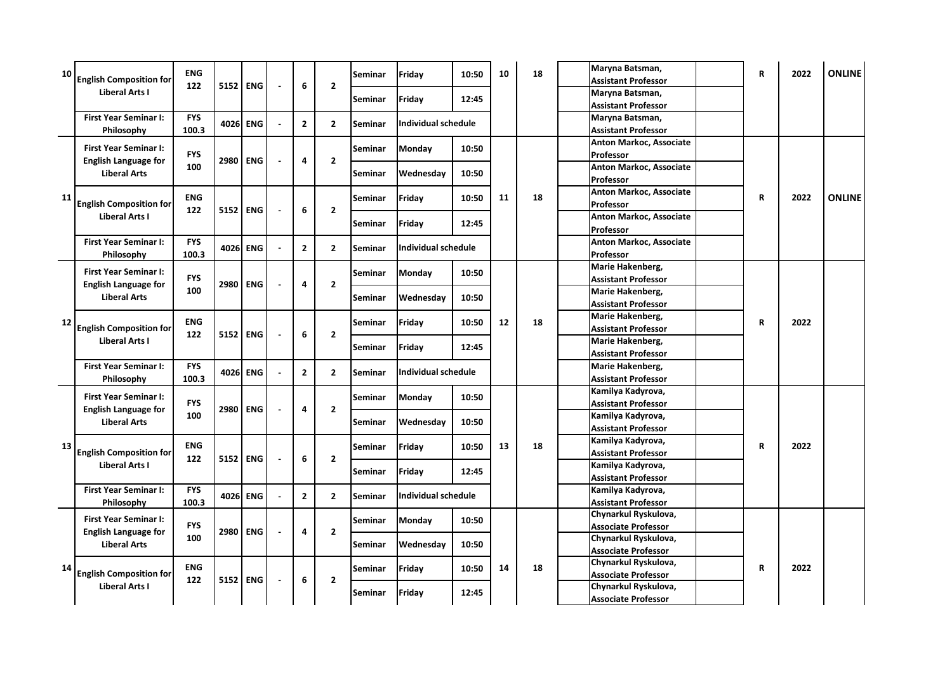| 10 | <b>English Composition for</b> | <b>ENG</b> |          |            |                          |                |                | Seminar | Friday                     | 10:50 | 10 | 18 | Maryna Batsman,<br><b>Assistant Professor</b> | R            | 2022 | <b>ONLINE</b> |
|----|--------------------------------|------------|----------|------------|--------------------------|----------------|----------------|---------|----------------------------|-------|----|----|-----------------------------------------------|--------------|------|---------------|
|    | <b>Liberal Arts I</b>          | 122        | 5152 ENG |            | ÷,                       | 6              | $\overline{2}$ |         |                            |       |    |    | Maryna Batsman,                               |              |      |               |
|    |                                |            |          |            |                          |                |                | Seminar | Friday                     | 12:45 |    |    | <b>Assistant Professor</b>                    |              |      |               |
|    | <b>First Year Seminar I:</b>   | <b>FYS</b> |          |            |                          |                |                |         |                            |       |    |    | Maryna Batsman,                               |              |      |               |
|    | Philosophy                     | 100.3      | 4026     | <b>ENG</b> |                          | $\mathbf{2}$   | $\overline{2}$ | Seminar | <b>Individual schedule</b> |       |    |    | <b>Assistant Professor</b>                    |              |      |               |
|    | <b>First Year Seminar I:</b>   |            |          |            |                          |                |                |         |                            |       |    |    | Anton Markoc, Associate                       |              |      |               |
|    |                                | <b>FYS</b> |          |            |                          |                |                | Seminar | Monday                     | 10:50 |    |    | Professor                                     |              |      |               |
|    | <b>English Language for</b>    | 100        | 2980     | <b>ENG</b> |                          | 4              | $\overline{2}$ |         |                            |       |    |    | Anton Markoc, Associate                       |              |      |               |
|    | <b>Liberal Arts</b>            |            |          |            |                          |                |                | Seminar | Wednesday                  | 10:50 |    |    | Professor                                     |              |      |               |
|    |                                |            |          |            |                          |                |                |         |                            |       |    |    | Anton Markoc, Associate                       |              |      |               |
| 11 | <b>English Composition for</b> | <b>ENG</b> |          |            |                          |                |                | Seminar | Friday                     | 10:50 | 11 | 18 | Professor                                     | $\mathsf{R}$ | 2022 | <b>ONLINE</b> |
|    | Liberal Arts I                 | 122        |          | 5152 ENG   | $\overline{\phantom{a}}$ | 6              | $\overline{2}$ |         |                            |       |    |    | Anton Markoc, Associate                       |              |      |               |
|    |                                |            |          |            |                          |                |                | Seminar | Friday                     | 12:45 |    |    | Professor                                     |              |      |               |
|    | <b>First Year Seminar I:</b>   | <b>FYS</b> |          |            |                          |                |                |         |                            |       |    |    | Anton Markoc, Associate                       |              |      |               |
|    | Philosophy                     | 100.3      |          | 4026 ENG   |                          | $\overline{2}$ | $\overline{2}$ | Seminar | <b>Individual schedule</b> |       |    |    | Professor                                     |              |      |               |
|    |                                |            |          |            |                          |                |                |         |                            |       |    |    | Marie Hakenberg,                              |              |      |               |
|    | <b>First Year Seminar I:</b>   | <b>FYS</b> |          |            |                          |                |                | Seminar | Monday                     | 10:50 |    |    | <b>Assistant Professor</b>                    |              |      |               |
|    | <b>English Language for</b>    | 100        | 2980     | <b>ENG</b> | $\overline{\phantom{a}}$ | 4              | $\overline{2}$ |         |                            |       |    |    | Marie Hakenberg,                              |              |      |               |
|    | <b>Liberal Arts</b>            |            |          |            |                          |                |                | Seminar | Wednesday                  | 10:50 |    |    | <b>Assistant Professor</b>                    |              |      |               |
|    |                                |            |          |            |                          |                |                |         |                            |       |    |    | Marie Hakenberg,                              |              |      |               |
| 12 | <b>English Composition for</b> | <b>ENG</b> |          |            |                          |                |                | Seminar | Friday                     | 10:50 | 12 | 18 | <b>Assistant Professor</b>                    | $\mathbf R$  | 2022 |               |
|    | Liberal Arts I                 | 122        | 5152 ENG |            | $\overline{a}$           | 6              | $\overline{2}$ |         |                            |       |    |    | Marie Hakenberg,                              |              |      |               |
|    |                                |            |          |            |                          |                |                | Seminar | Friday                     | 12:45 |    |    | <b>Assistant Professor</b>                    |              |      |               |
|    | <b>First Year Seminar I:</b>   | <b>FYS</b> |          |            |                          |                |                |         |                            |       |    |    | Marie Hakenberg,                              |              |      |               |
|    | Philosophy                     | 100.3      |          | 4026 ENG   |                          | $\overline{2}$ | $\overline{2}$ | Seminar | <b>Individual schedule</b> |       |    |    | <b>Assistant Professor</b>                    |              |      |               |
|    |                                |            |          |            |                          |                |                |         |                            |       |    |    | Kamilya Kadyrova,                             |              |      |               |
|    | <b>First Year Seminar I:</b>   | <b>FYS</b> |          |            |                          |                |                | Seminar | Monday                     | 10:50 |    |    | <b>Assistant Professor</b>                    |              |      |               |
|    | <b>English Language for</b>    | 100        | 2980     | <b>ENG</b> |                          | 4              | $\overline{2}$ |         |                            |       |    |    | Kamilya Kadyrova,                             |              |      |               |
|    | <b>Liberal Arts</b>            |            |          |            |                          |                |                | Seminar | Wednesday                  | 10:50 |    |    | <b>Assistant Professor</b>                    |              |      |               |
|    |                                | <b>ENG</b> |          |            |                          |                |                |         |                            |       | 13 |    | Kamilya Kadyrova,                             | $\mathbf R$  |      |               |
| 13 | <b>English Composition for</b> |            |          |            |                          | 6              | $\overline{2}$ | Seminar | Friday                     | 10:50 |    | 18 | <b>Assistant Professor</b>                    |              | 2022 |               |
|    | Liberal Arts I                 | 122        |          | 5152 ENG   | $\overline{\phantom{a}}$ |                |                |         |                            |       |    |    | Kamilya Kadyrova,                             |              |      |               |
|    |                                |            |          |            |                          |                |                | Seminar | Friday                     | 12:45 |    |    | <b>Assistant Professor</b>                    |              |      |               |
|    | <b>First Year Seminar I:</b>   | <b>FYS</b> |          | 4026 ENG   |                          | $\overline{2}$ | $\overline{2}$ | Seminar | <b>Individual schedule</b> |       |    |    | Kamilya Kadyrova,                             |              |      |               |
|    | Philosophy                     | 100.3      |          |            |                          |                |                |         |                            |       |    |    | <b>Assistant Professor</b>                    |              |      |               |
|    | <b>First Year Seminar I:</b>   |            |          |            |                          |                |                | Seminar | Monday                     | 10:50 |    |    | Chynarkul Ryskulova,                          |              |      |               |
|    | <b>English Language for</b>    | <b>FYS</b> | 2980     | <b>ENG</b> |                          | 4              | $\overline{2}$ |         |                            |       |    |    | <b>Associate Professor</b>                    |              |      |               |
|    | <b>Liberal Arts</b>            | 100        |          |            |                          |                |                | Seminar | Wednesday                  | 10:50 |    |    | Chynarkul Ryskulova,                          |              |      |               |
|    |                                |            |          |            |                          |                |                |         |                            |       |    |    | <b>Associate Professor</b>                    |              |      |               |
|    |                                | <b>ENG</b> |          |            |                          |                |                | Seminar | Friday                     | 10:50 | 14 | 18 | Chynarkul Ryskulova,                          | $\mathbf R$  | 2022 |               |
| 14 | <b>English Composition for</b> | 122        |          | 5152 ENG   | L,                       | 6              | $\overline{2}$ |         |                            |       |    |    | <b>Associate Professor</b>                    |              |      |               |
|    | Liberal Arts I                 |            |          |            |                          |                |                | Seminar | Friday                     | 12:45 |    |    | Chynarkul Ryskulova,                          |              |      |               |
|    |                                |            |          |            |                          |                |                |         |                            |       |    |    | <b>Associate Professor</b>                    |              |      |               |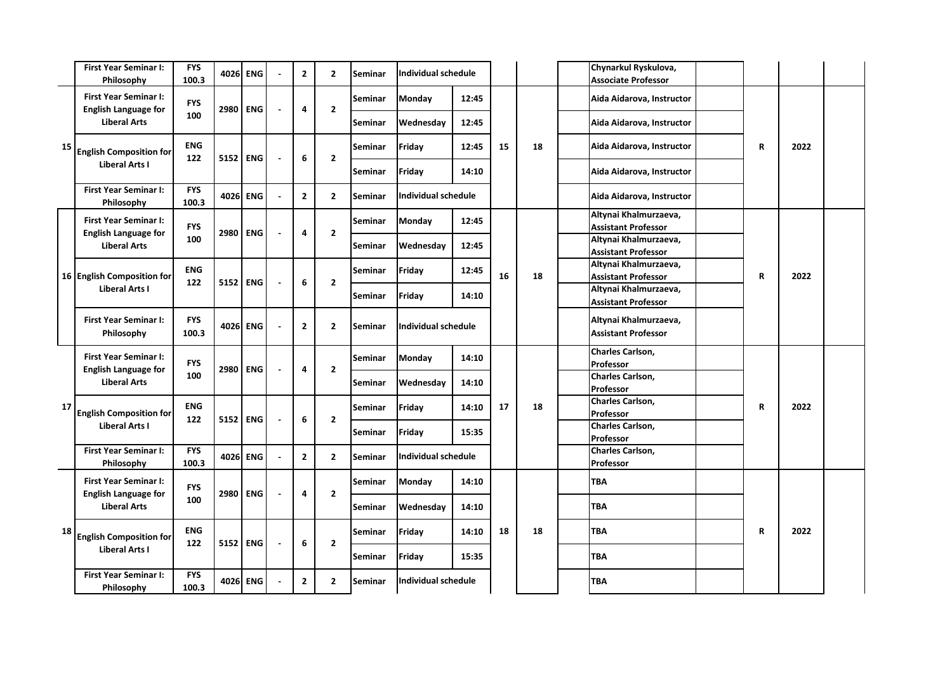|    | <b>First Year Seminar I:</b><br>Philosophy                  | <b>FYS</b><br>100.3 |      | 4026 ENG   |                          | $\mathbf{2}$   | $\overline{2}$          | Seminar        | Individual schedule        |                     |    |    | Chynarkul Ryskulova,<br><b>Associate Professor</b>  |             |      |  |
|----|-------------------------------------------------------------|---------------------|------|------------|--------------------------|----------------|-------------------------|----------------|----------------------------|---------------------|----|----|-----------------------------------------------------|-------------|------|--|
|    | <b>First Year Seminar I:</b><br><b>English Language for</b> | <b>FYS</b>          | 2980 | <b>ENG</b> | $\overline{\phantom{a}}$ | 4              | $\overline{2}$          | Seminar        | Monday                     | 12:45               |    |    | Aida Aidarova, Instructor                           |             |      |  |
|    | <b>Liberal Arts</b>                                         | 100                 |      |            |                          |                |                         | Seminar        | Wednesday                  | 12:45               |    |    | Aida Aidarova, Instructor                           |             |      |  |
| 15 | <b>English Composition for</b>                              | <b>ENG</b><br>122   | 5152 | <b>ENG</b> | $\overline{\phantom{a}}$ | 6              | $\mathbf{2}$            | <b>Seminar</b> | Friday                     | 12:45               | 15 | 18 | Aida Aidarova, Instructor                           | R           | 2022 |  |
|    | Liberal Arts I                                              |                     |      |            |                          |                |                         | Seminar        | Friday                     | 14:10               |    |    | Aida Aidarova, Instructor                           |             |      |  |
|    | <b>First Year Seminar I:</b><br>Philosophy                  | <b>FYS</b><br>100.3 | 4026 | <b>ENG</b> |                          | $\overline{2}$ | $\overline{2}$          | Seminar        | Individual schedule        |                     |    |    | Aida Aidarova, Instructor                           |             |      |  |
|    | <b>First Year Seminar I:</b><br><b>English Language for</b> | <b>FYS</b>          | 2980 | <b>ENG</b> | $\overline{\phantom{a}}$ | 4              | $\overline{\mathbf{2}}$ | Seminar        | <b>Monday</b>              | 12:45               |    |    | Altynai Khalmurzaeva,<br><b>Assistant Professor</b> |             |      |  |
|    | <b>Liberal Arts</b>                                         | 100                 |      |            |                          |                |                         | Seminar        | Wednesday                  | 12:45               |    |    | Altynai Khalmurzaeva,<br><b>Assistant Professor</b> |             |      |  |
|    | 16 English Composition for                                  | <b>ENG</b>          | 5152 | <b>ENG</b> | $\overline{\phantom{a}}$ | 6              | $\mathbf{2}$            | Seminar        | Friday                     | 12:45               | 16 | 18 | Altynai Khalmurzaeva,<br><b>Assistant Professor</b> | $\mathbf R$ | 2022 |  |
|    | Liberal Arts I                                              | 122                 |      |            |                          |                |                         | Seminar        | Friday                     | 14:10               |    |    | Altynai Khalmurzaeva,<br><b>Assistant Professor</b> |             |      |  |
|    | <b>First Year Seminar I:</b><br>Philosophy                  | <b>FYS</b><br>100.3 | 4026 | <b>ENG</b> | $\overline{a}$           | $\mathbf{2}$   | $\mathbf{2}$            | Seminar        | <b>Individual schedule</b> |                     |    |    | Altynai Khalmurzaeva,<br><b>Assistant Professor</b> |             |      |  |
|    | <b>First Year Seminar I:</b>                                | <b>FYS</b>          |      |            | $\overline{a}$           |                | $\overline{2}$          | Seminar        | Monday                     | 14:10               |    |    | Charles Carlson,<br>Professor                       |             |      |  |
|    | <b>English Language for</b><br><b>Liberal Arts</b>          | 100                 | 2980 | <b>ENG</b> |                          | 4              |                         | Seminar        | Wednesday                  | 14:10               |    |    | Charles Carlson,<br>Professor                       |             |      |  |
| 17 | <b>English Composition for</b>                              | <b>ENG</b>          |      |            |                          |                |                         | Seminar        | Friday                     | 14:10               | 17 | 18 | Charles Carlson,<br>Professor                       | $\mathbf R$ | 2022 |  |
|    | Liberal Arts I                                              | 122                 | 5152 | <b>ENG</b> | $\overline{\phantom{a}}$ | 6              | $\mathbf{2}$            | Seminar        | Friday                     | 15:35               |    |    | Charles Carlson,<br>Professor                       |             |      |  |
|    | <b>First Year Seminar I:</b><br>Philosophy                  | <b>FYS</b><br>100.3 | 4026 | <b>ENG</b> | $\overline{\phantom{a}}$ | $\mathbf{2}$   | $\mathbf{2}$            | Seminar        |                            | Individual schedule |    |    | Charles Carlson,<br>Professor                       |             |      |  |
|    | <b>First Year Seminar I:</b>                                | <b>FYS</b>          | 2980 | <b>ENG</b> | $\overline{\phantom{a}}$ | 4              | $\overline{2}$          | Seminar        | <b>Monday</b>              | 14:10               |    |    | TBA                                                 |             |      |  |
|    | <b>English Language for</b><br><b>Liberal Arts</b>          | 100                 |      |            |                          |                |                         | Seminar        | Wednesday                  | 14:10               |    |    | <b>TBA</b>                                          |             |      |  |
| 18 | <b>English Composition for</b>                              | <b>ENG</b>          |      |            |                          |                |                         | Seminar        | Friday                     | 14:10               | 18 | 18 | <b>TBA</b>                                          | $\mathbf R$ | 2022 |  |
|    | Liberal Arts I                                              | 122                 | 5152 | <b>ENG</b> | $\overline{\phantom{a}}$ | 6              | $\overline{\mathbf{2}}$ | Seminar        | Friday                     | 15:35               |    |    | <b>TBA</b>                                          |             |      |  |
|    | <b>First Year Seminar I:</b><br>Philosophy                  | <b>FYS</b><br>100.3 |      | 4026 ENG   |                          | $\overline{2}$ | $\overline{2}$          | Seminar        | Individual schedule        |                     |    |    | <b>TBA</b>                                          |             |      |  |